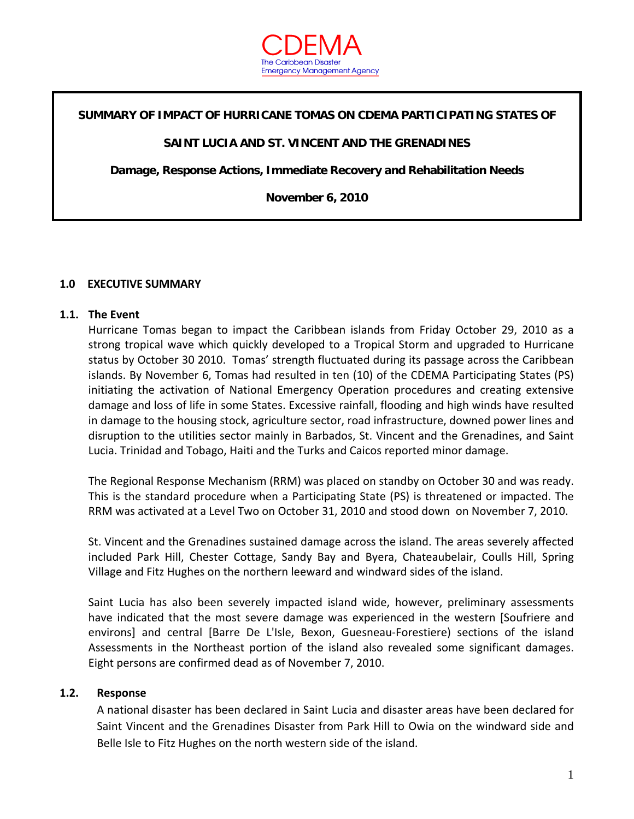

#### **SUMMARY OF IMPACT OF HURRICANE TOMAS ON CDEMA PARTICIPATING STATES OF**

#### **SAINT LUCIA AND ST. VINCENT AND THE GRENADINES**

**Damage, Response Actions, Immediate Recovery and Rehabilitation Needs** 

**November 6, 2010** 

#### **1.0 EXECUTIVE SUMMARY**

#### **1.1. The Event**

Hurricane Tomas began to impact the Caribbean islands from Friday October 29, 2010 as a strong tropical wave which quickly developed to a Tropical Storm and upgraded to Hurricane status by October 30 2010. Tomas' strength fluctuated during its passage across the Caribbean islands. By November 6, Tomas had resulted in ten (10) of the CDEMA Participating States (PS) initiating the activation of National Emergency Operation procedures and creating extensive damage and loss of life in some States. Excessive rainfall, flooding and high winds have resulted in damage to the housing stock, agriculture sector, road infrastructure, downed power lines and disruption to the utilities sector mainly in Barbados, St. Vincent and the Grenadines, and Saint Lucia. Trinidad and Tobago, Haiti and the Turks and Caicos reported minor damage.

The Regional Response Mechanism (RRM) was placed on standby on October 30 and was ready. This is the standard procedure when a Participating State (PS) is threatened or impacted. The RRM was activated at a Level Two on October 31, 2010 and stood down on November 7, 2010.

St. Vincent and the Grenadines sustained damage across the island. The areas severely affected included Park Hill, Chester Cottage, Sandy Bay and Byera, Chateaubelair, Coulls Hill, Spring Village and Fitz Hughes on the northern leeward and windward sides of the island.

Saint Lucia has also been severely impacted island wide, however, preliminary assessments have indicated that the most severe damage was experienced in the western [Soufriere and environs] and central [Barre De L'Isle, Bexon, Guesneau‐Forestiere) sections of the island Assessments in the Northeast portion of the island also revealed some significant damages. Eight persons are confirmed dead as of November 7, 2010.

#### **1.2. Response**

A national disaster has been declared in Saint Lucia and disaster areas have been declared for Saint Vincent and the Grenadines Disaster from Park Hill to Owia on the windward side and Belle Isle to Fitz Hughes on the north western side of the island.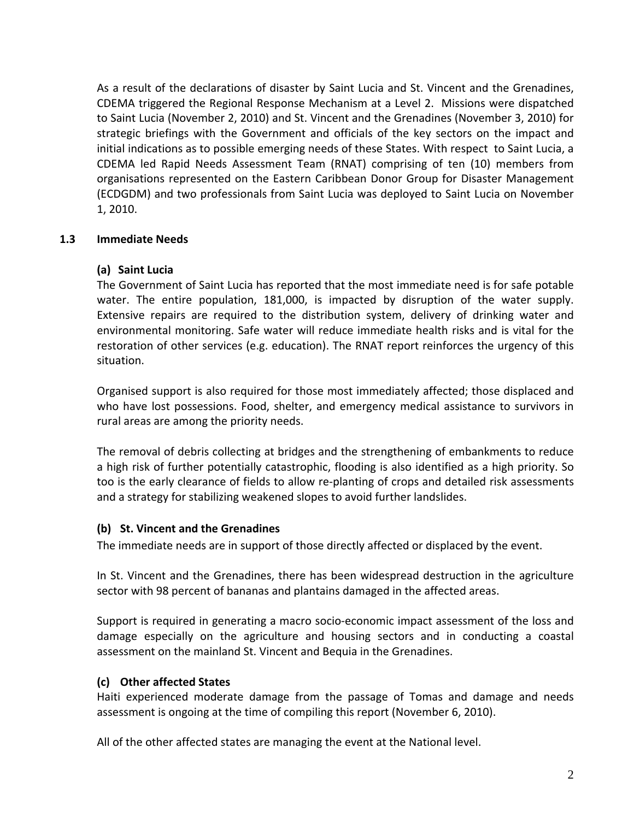As a result of the declarations of disaster by Saint Lucia and St. Vincent and the Grenadines, CDEMA triggered the Regional Response Mechanism at a Level 2. Missions were dispatched to Saint Lucia (November 2, 2010) and St. Vincent and the Grenadines (November 3, 2010) for strategic briefings with the Government and officials of the key sectors on the impact and initial indications as to possible emerging needs of these States. With respect to Saint Lucia, a CDEMA led Rapid Needs Assessment Team (RNAT) comprising of ten (10) members from organisations represented on the Eastern Caribbean Donor Group for Disaster Management (ECDGDM) and two professionals from Saint Lucia was deployed to Saint Lucia on November 1, 2010.

## **1.3 Immediate Needs**

## **(a) Saint Lucia**

The Government of Saint Lucia has reported that the most immediate need is for safe potable water. The entire population, 181,000, is impacted by disruption of the water supply. Extensive repairs are required to the distribution system, delivery of drinking water and environmental monitoring. Safe water will reduce immediate health risks and is vital for the restoration of other services (e.g. education). The RNAT report reinforces the urgency of this situation.

Organised support is also required for those most immediately affected; those displaced and who have lost possessions. Food, shelter, and emergency medical assistance to survivors in rural areas are among the priority needs.

The removal of debris collecting at bridges and the strengthening of embankments to reduce a high risk of further potentially catastrophic, flooding is also identified as a high priority. So too is the early clearance of fields to allow re-planting of crops and detailed risk assessments and a strategy for stabilizing weakened slopes to avoid further landslides.

# **(b) St. Vincent and the Grenadines**

The immediate needs are in support of those directly affected or displaced by the event.

In St. Vincent and the Grenadines, there has been widespread destruction in the agriculture sector with 98 percent of bananas and plantains damaged in the affected areas.

Support is required in generating a macro socio‐economic impact assessment of the loss and damage especially on the agriculture and housing sectors and in conducting a coastal assessment on the mainland St. Vincent and Bequia in the Grenadines.

# **(c) Other affected States**

Haiti experienced moderate damage from the passage of Tomas and damage and needs assessment is ongoing at the time of compiling this report (November 6, 2010).

All of the other affected states are managing the event at the National level.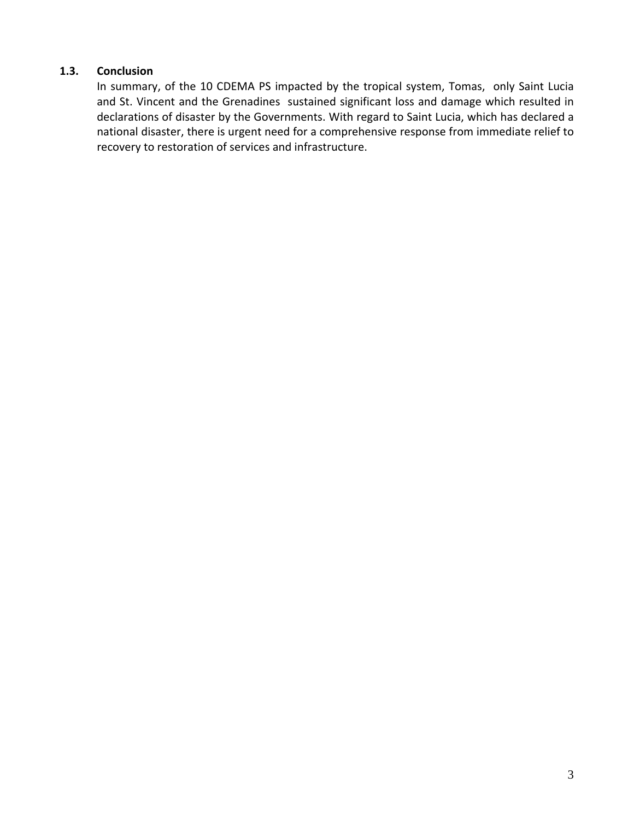## **1.3. Conclusion**

In summary, of the 10 CDEMA PS impacted by the tropical system, Tomas, only Saint Lucia and St. Vincent and the Grenadines sustained significant loss and damage which resulted in declarations of disaster by the Governments. With regard to Saint Lucia, which has declared a national disaster, there is urgent need for a comprehensive response from immediate relief to recovery to restoration of services and infrastructure.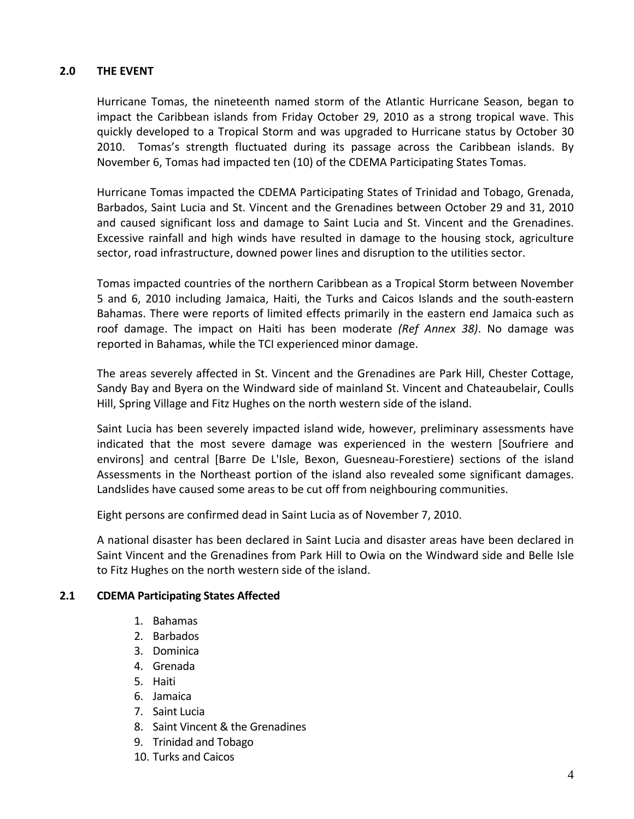## **2.0 THE EVENT**

Hurricane Tomas, the nineteenth named storm of the Atlantic Hurricane Season, began to impact the Caribbean islands from Friday October 29, 2010 as a strong tropical wave. This quickly developed to a Tropical Storm and was upgraded to Hurricane status by October 30 2010. Tomas's strength fluctuated during its passage across the Caribbean islands. By November 6, Tomas had impacted ten (10) of the CDEMA Participating States Tomas.

Hurricane Tomas impacted the CDEMA Participating States of Trinidad and Tobago, Grenada, Barbados, Saint Lucia and St. Vincent and the Grenadines between October 29 and 31, 2010 and caused significant loss and damage to Saint Lucia and St. Vincent and the Grenadines. Excessive rainfall and high winds have resulted in damage to the housing stock, agriculture sector, road infrastructure, downed power lines and disruption to the utilities sector.

Tomas impacted countries of the northern Caribbean as a Tropical Storm between November 5 and 6, 2010 including Jamaica, Haiti, the Turks and Caicos Islands and the south-eastern Bahamas. There were reports of limited effects primarily in the eastern end Jamaica such as roof damage. The impact on Haiti has been moderate *(Ref Annex 38)*. No damage was reported in Bahamas, while the TCI experienced minor damage.

The areas severely affected in St. Vincent and the Grenadines are Park Hill, Chester Cottage, Sandy Bay and Byera on the Windward side of mainland St. Vincent and Chateaubelair, Coulls Hill, Spring Village and Fitz Hughes on the north western side of the island.

Saint Lucia has been severely impacted island wide, however, preliminary assessments have indicated that the most severe damage was experienced in the western [Soufriere and environs] and central [Barre De L'Isle, Bexon, Guesneau-Forestiere) sections of the island Assessments in the Northeast portion of the island also revealed some significant damages. Landslides have caused some areas to be cut off from neighbouring communities.

Eight persons are confirmed dead in Saint Lucia as of November 7, 2010.

A national disaster has been declared in Saint Lucia and disaster areas have been declared in Saint Vincent and the Grenadines from Park Hill to Owia on the Windward side and Belle Isle to Fitz Hughes on the north western side of the island.

#### **2.1 CDEMA Participating States Affected**

- 1. Bahamas
- 2. Barbados
- 3. Dominica
- 4. Grenada
- 5. Haiti
- 6. Jamaica
- 7. Saint Lucia
- 8. Saint Vincent & the Grenadines
- 9. Trinidad and Tobago
- 10. Turks and Caicos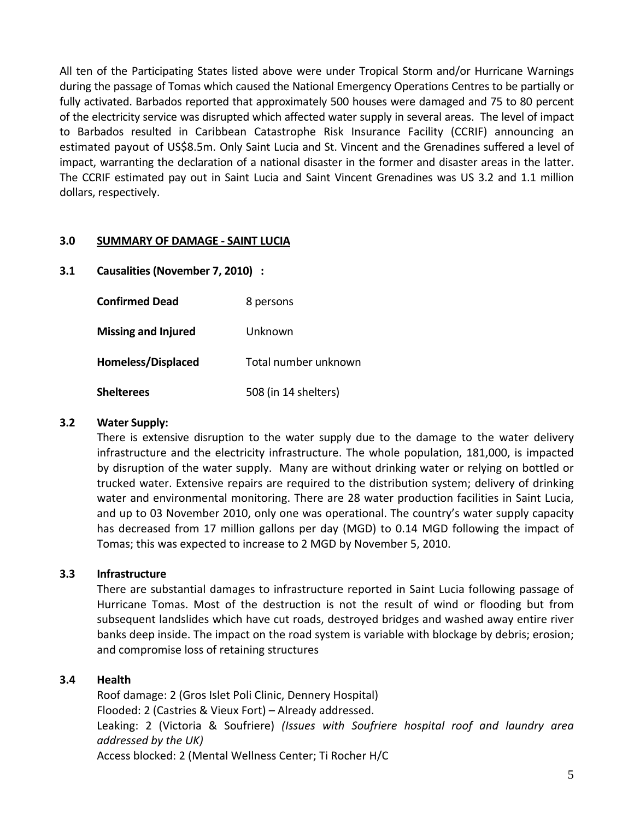All ten of the Participating States listed above were under Tropical Storm and/or Hurricane Warnings during the passage of Tomas which caused the National Emergency Operations Centres to be partially or fully activated. Barbados reported that approximately 500 houses were damaged and 75 to 80 percent of the electricity service was disrupted which affected water supply in several areas. The level of impact to Barbados resulted in Caribbean Catastrophe Risk Insurance Facility (CCRIF) announcing an estimated payout of US\$8.5m. Only Saint Lucia and St. Vincent and the Grenadines suffered a level of impact, warranting the declaration of a national disaster in the former and disaster areas in the latter. The CCRIF estimated pay out in Saint Lucia and Saint Vincent Grenadines was US 3.2 and 1.1 million dollars, respectively.

## **3.0 SUMMARY OF DAMAGE ‐ SAINT LUCIA**

**3.1 Causalities (November 7, 2010) :**

| <b>Confirmed Dead</b>      | 8 persons            |  |  |
|----------------------------|----------------------|--|--|
| <b>Missing and Injured</b> | Unknown              |  |  |
| <b>Homeless/Displaced</b>  | Total number unknown |  |  |
| <b>Shelterees</b>          | 508 (in 14 shelters) |  |  |

# **3.2 Water Supply:**

There is extensive disruption to the water supply due to the damage to the water delivery infrastructure and the electricity infrastructure. The whole population, 181,000, is impacted by disruption of the water supply. Many are without drinking water or relying on bottled or trucked water. Extensive repairs are required to the distribution system; delivery of drinking water and environmental monitoring. There are 28 water production facilities in Saint Lucia, and up to 03 November 2010, only one was operational. The country's water supply capacity has decreased from 17 million gallons per day (MGD) to 0.14 MGD following the impact of Tomas; this was expected to increase to 2 MGD by November 5, 2010.

# **3.3 Infrastructure**

There are substantial damages to infrastructure reported in Saint Lucia following passage of Hurricane Tomas. Most of the destruction is not the result of wind or flooding but from subsequent landslides which have cut roads, destroyed bridges and washed away entire river banks deep inside. The impact on the road system is variable with blockage by debris; erosion; and compromise loss of retaining structures

# **3.4 Health**

Roof damage: 2 (Gros Islet Poli Clinic, Dennery Hospital) Flooded: 2 (Castries & Vieux Fort) – Already addressed. Leaking: 2 (Victoria & Soufriere) *(Issues with Soufriere hospital roof and laundry area addressed by the UK)* Access blocked: 2 (Mental Wellness Center; Ti Rocher H/C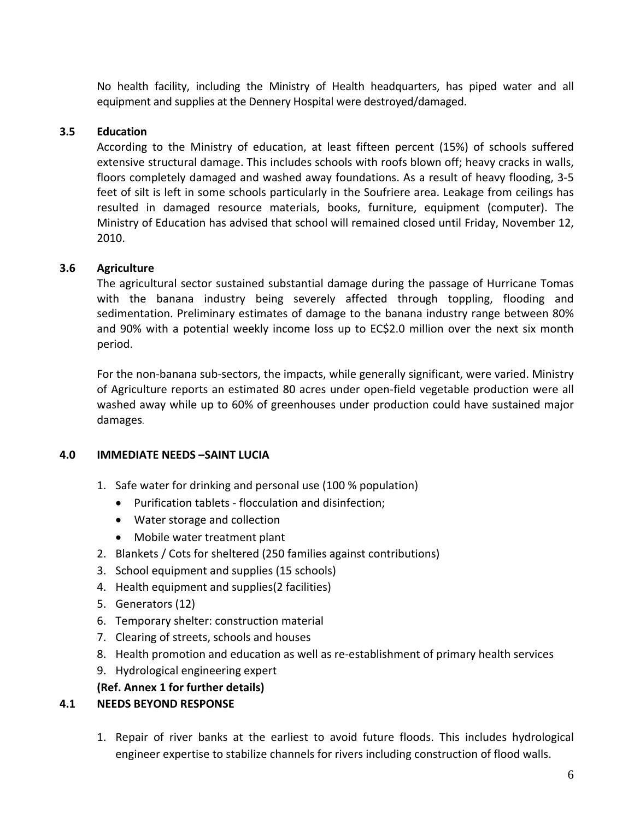No health facility, including the Ministry of Health headquarters, has piped water and all equipment and supplies at the Dennery Hospital were destroyed/damaged.

# **3.5 Education**

According to the Ministry of education, at least fifteen percent (15%) of schools suffered extensive structural damage. This includes schools with roofs blown off; heavy cracks in walls, floors completely damaged and washed away foundations. As a result of heavy flooding, 3‐5 feet of silt is left in some schools particularly in the Soufriere area. Leakage from ceilings has resulted in damaged resource materials, books, furniture, equipment (computer). The Ministry of Education has advised that school will remained closed until Friday, November 12, 2010.

# **3.6 Agriculture**

The agricultural sector sustained substantial damage during the passage of Hurricane Tomas with the banana industry being severely affected through toppling, flooding and sedimentation. Preliminary estimates of damage to the banana industry range between 80% and 90% with a potential weekly income loss up to EC\$2.0 million over the next six month period.

For the non-banana sub-sectors, the impacts, while generally significant, were varied. Ministry of Agriculture reports an estimated 80 acres under open‐field vegetable production were all washed away while up to 60% of greenhouses under production could have sustained major damages.

# **4.0 IMMEDIATE NEEDS –SAINT LUCIA**

- 1. Safe water for drinking and personal use (100 % population)
	- Purification tablets ‐ flocculation and disinfection;
	- Water storage and collection
	- Mobile water treatment plant
- 2. Blankets / Cots for sheltered (250 families against contributions)
- 3. School equipment and supplies (15 schools)
- 4. Health equipment and supplies(2 facilities)
- 5. Generators (12)
- 6. Temporary shelter: construction material
- 7. Clearing of streets, schools and houses
- 8. Health promotion and education as well as re-establishment of primary health services
- 9. Hydrological engineering expert

# **(Ref. Annex 1 for further details)**

# **4.1 NEEDS BEYOND RESPONSE**

1. Repair of river banks at the earliest to avoid future floods. This includes hydrological engineer expertise to stabilize channels for rivers including construction of flood walls.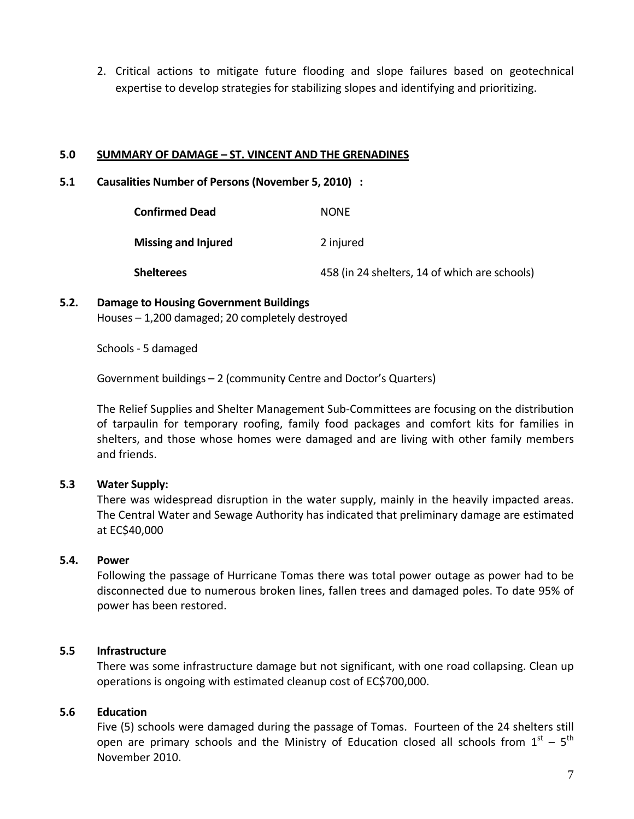2. Critical actions to mitigate future flooding and slope failures based on geotechnical expertise to develop strategies for stabilizing slopes and identifying and prioritizing.

#### **5.0 SUMMARY OF DAMAGE – ST. VINCENT AND THE GRENADINES**

#### **5.1 Causalities Number of Persons (November 5, 2010) :**

| <b>Confirmed Dead</b>      | <b>NONF</b>                                   |
|----------------------------|-----------------------------------------------|
| <b>Missing and Injured</b> | 2 injured                                     |
| <b>Shelterees</b>          | 458 (in 24 shelters, 14 of which are schools) |

# **5.2. Damage to Housing Government Buildings**  Houses – 1,200 damaged; 20 completely destroyed

Schools ‐ 5 damaged

Government buildings – 2 (community Centre and Doctor's Quarters)

The Relief Supplies and Shelter Management Sub‐Committees are focusing on the distribution of tarpaulin for temporary roofing, family food packages and comfort kits for families in shelters, and those whose homes were damaged and are living with other family members and friends.

# **5.3 Water Supply:**

There was widespread disruption in the water supply, mainly in the heavily impacted areas. The Central Water and Sewage Authority has indicated that preliminary damage are estimated at EC\$40,000

# **5.4. Power**

Following the passage of Hurricane Tomas there was total power outage as power had to be disconnected due to numerous broken lines, fallen trees and damaged poles. To date 95% of power has been restored.

# **5.5 Infrastructure**

There was some infrastructure damage but not significant, with one road collapsing. Clean up operations is ongoing with estimated cleanup cost of EC\$700,000.

# **5.6 Education**

Five (5) schools were damaged during the passage of Tomas. Fourteen of the 24 shelters still open are primary schools and the Ministry of Education closed all schools from  $1^{st}$  –  $5^{th}$ November 2010.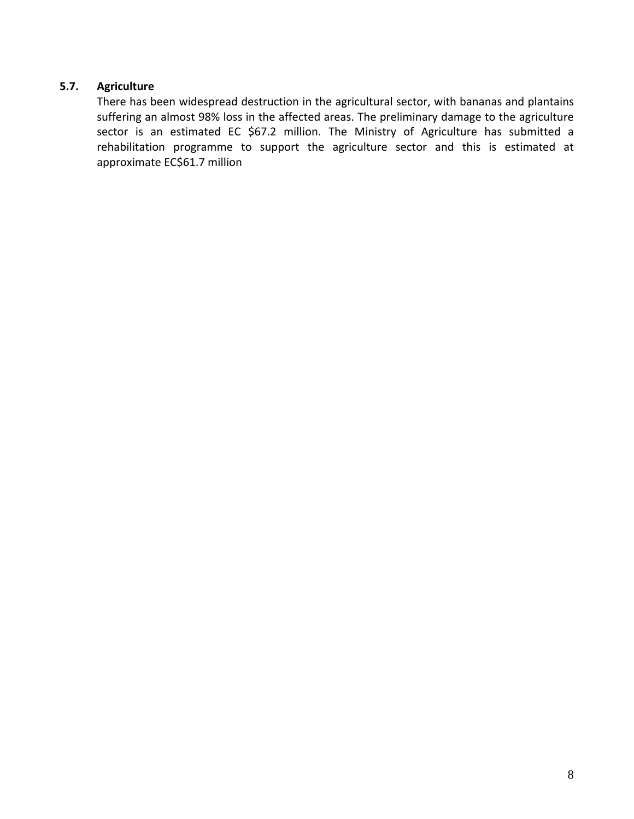# **5.7. Agriculture**

There has been widespread destruction in the agricultural sector, with bananas and plantains suffering an almost 98% loss in the affected areas. The preliminary damage to the agriculture sector is an estimated EC \$67.2 million. The Ministry of Agriculture has submitted a rehabilitation programme to support the agriculture sector and this is estimated at approximate EC\$61.7 million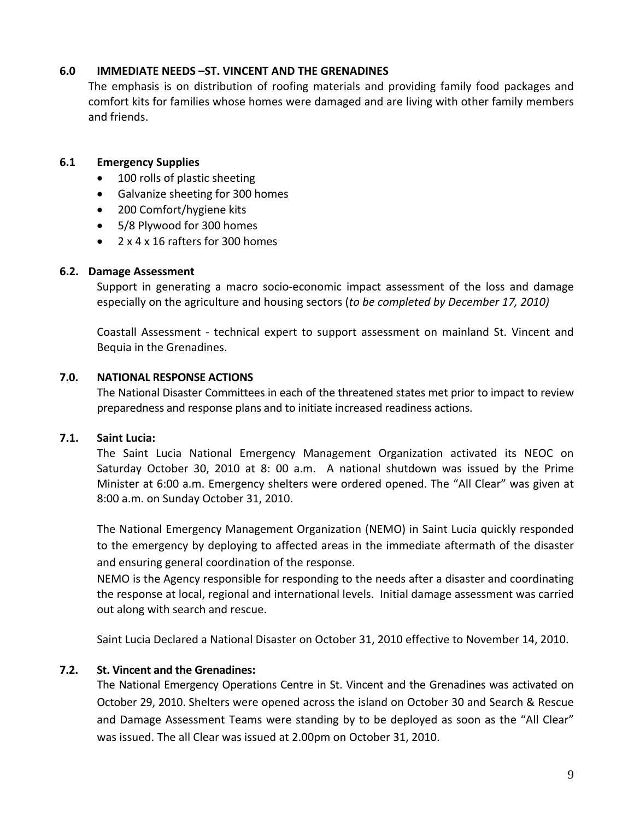## **6.0 IMMEDIATE NEEDS –ST. VINCENT AND THE GRENADINES**

The emphasis is on distribution of roofing materials and providing family food packages and comfort kits for families whose homes were damaged and are living with other family members and friends.

## **6.1 Emergency Supplies**

- 100 rolls of plastic sheeting
- Galvanize sheeting for 300 homes
- 200 Comfort/hygiene kits
- 5/8 Plywood for 300 homes
- 2 x 4 x 16 rafters for 300 homes

#### **6.2. Damage Assessment**

Support in generating a macro socio-economic impact assessment of the loss and damage especially on the agriculture and housing sectors (*to be completed by December 17, 2010)*

Coastall Assessment ‐ technical expert to support assessment on mainland St. Vincent and Bequia in the Grenadines.

#### **7.0. NATIONAL RESPONSE ACTIONS**

The National Disaster Committees in each of the threatened states met prior to impact to review preparedness and response plans and to initiate increased readiness actions.

#### **7.1. Saint Lucia:**

The Saint Lucia National Emergency Management Organization activated its NEOC on Saturday October 30, 2010 at 8: 00 a.m. A national shutdown was issued by the Prime Minister at 6:00 a.m. Emergency shelters were ordered opened. The "All Clear" was given at 8:00 a.m. on Sunday October 31, 2010.

The National Emergency Management Organization (NEMO) in Saint Lucia quickly responded to the emergency by deploying to affected areas in the immediate aftermath of the disaster and ensuring general coordination of the response.

NEMO is the Agency responsible for responding to the needs after a disaster and coordinating the response at local, regional and international levels. Initial damage assessment was carried out along with search and rescue.

Saint Lucia Declared a National Disaster on October 31, 2010 effective to November 14, 2010.

# **7.2. St. Vincent and the Grenadines:**

The National Emergency Operations Centre in St. Vincent and the Grenadines was activated on October 29, 2010. Shelters were opened across the island on October 30 and Search & Rescue and Damage Assessment Teams were standing by to be deployed as soon as the "All Clear" was issued. The all Clear was issued at 2.00pm on October 31, 2010.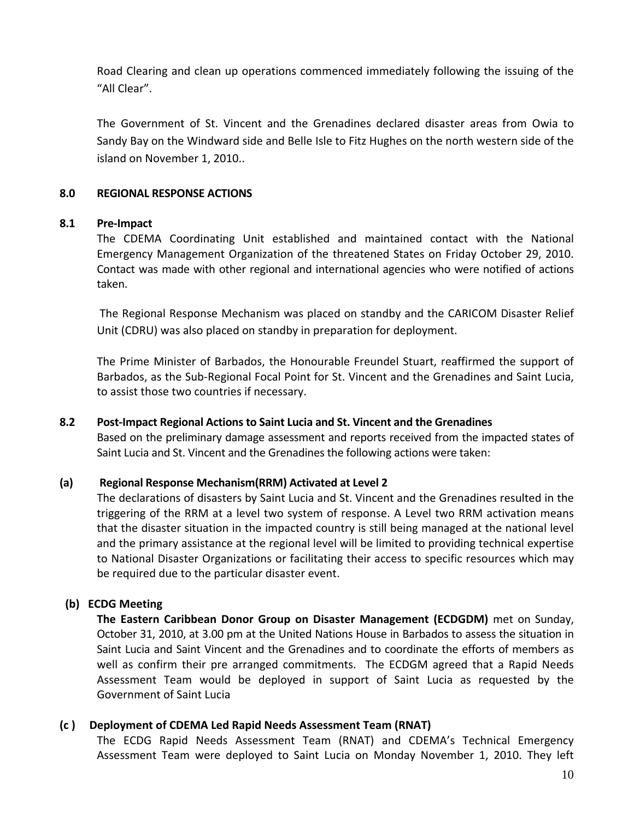Road Clearing and clean up operations commenced immediately following the issuing of the "All Clear".

The Government of St. Vincent and the Grenadines declared disaster areas from Owia to Sandy Bay on the Windward side and Belle Isle to Fitz Hughes on the north western side of the island on November 1, 2010..

#### **8.0 REGIONAL RESPONSE ACTIONS**

#### **8.1 Pre‐Impact**

The CDEMA Coordinating Unit established and maintained contact with the National Emergency Management Organization of the threatened States on Friday October 29, 2010. Contact was made with other regional and international agencies who were notified of actions taken.

The Regional Response Mechanism was placed on standby and the CARICOM Disaster Relief Unit (CDRU) was also placed on standby in preparation for deployment.

The Prime Minister of Barbados, the Honourable Freundel Stuart, reaffirmed the support of Barbados, as the Sub‐Regional Focal Point for St. Vincent and the Grenadines and Saint Lucia, to assist those two countries if necessary.

# **8.2 Post‐Impact Regional Actions to Saint Lucia and St. Vincent and the Grenadines**

Based on the preliminary damage assessment and reports received from the impacted states of Saint Lucia and St. Vincent and the Grenadines the following actions were taken:

# **(a) Regional Response Mechanism(RRM) Activated at Level 2**

The declarations of disasters by Saint Lucia and St. Vincent and the Grenadines resulted in the triggering of the RRM at a level two system of response. A Level two RRM activation means that the disaster situation in the impacted country is still being managed at the national level and the primary assistance at the regional level will be limited to providing technical expertise to National Disaster Organizations or facilitating their access to specific resources which may be required due to the particular disaster event.

# **(b) ECDG Meeting**

**The Eastern Caribbean Donor Group on Disaster Management (ECDGDM)** met on Sunday, October 31, 2010, at 3.00 pm at the United Nations House in Barbados to assess the situation in Saint Lucia and Saint Vincent and the Grenadines and to coordinate the efforts of members as well as confirm their pre arranged commitments. The ECDGM agreed that a Rapid Needs Assessment Team would be deployed in support of Saint Lucia as requested by the Government of Saint Lucia

# **(c ) Deployment of CDEMA Led Rapid Needs Assessment Team (RNAT)**

The ECDG Rapid Needs Assessment Team (RNAT) and CDEMA's Technical Emergency Assessment Team were deployed to Saint Lucia on Monday November 1, 2010. They left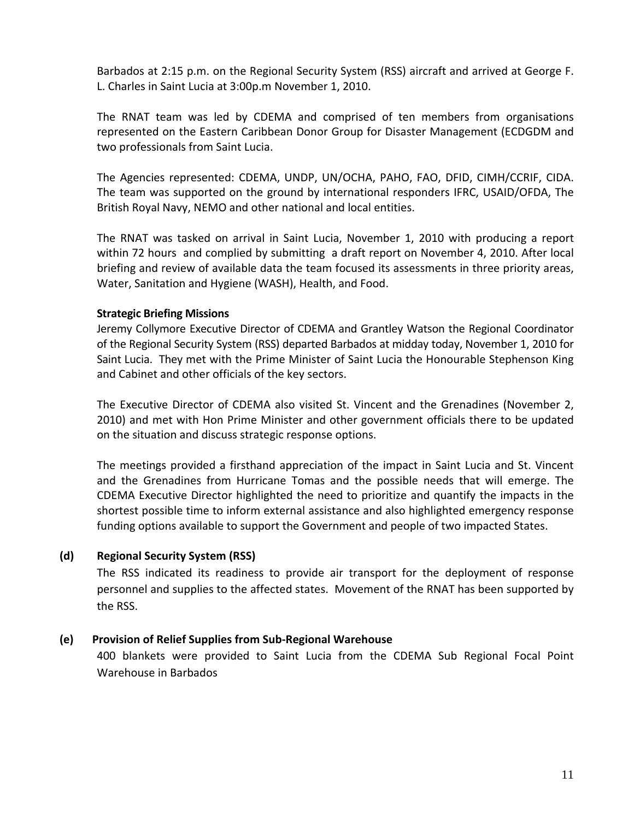Barbados at 2:15 p.m. on the Regional Security System (RSS) aircraft and arrived at George F. L. Charles in Saint Lucia at 3:00p.m November 1, 2010.

The RNAT team was led by CDEMA and comprised of ten members from organisations represented on the Eastern Caribbean Donor Group for Disaster Management (ECDGDM and two professionals from Saint Lucia.

The Agencies represented: CDEMA, UNDP, UN/OCHA, PAHO, FAO, DFID, CIMH/CCRIF, CIDA. The team was supported on the ground by international responders IFRC, USAID/OFDA, The British Royal Navy, NEMO and other national and local entities.

The RNAT was tasked on arrival in Saint Lucia, November 1, 2010 with producing a report within 72 hours and complied by submitting a draft report on November 4, 2010. After local briefing and review of available data the team focused its assessments in three priority areas, Water, Sanitation and Hygiene (WASH), Health, and Food.

#### **Strategic Briefing Missions**

Jeremy Collymore Executive Director of CDEMA and Grantley Watson the Regional Coordinator of the Regional Security System (RSS) departed Barbados at midday today, November 1, 2010 for Saint Lucia. They met with the Prime Minister of Saint Lucia the Honourable Stephenson King and Cabinet and other officials of the key sectors.

The Executive Director of CDEMA also visited St. Vincent and the Grenadines (November 2, 2010) and met with Hon Prime Minister and other government officials there to be updated on the situation and discuss strategic response options.

The meetings provided a firsthand appreciation of the impact in Saint Lucia and St. Vincent and the Grenadines from Hurricane Tomas and the possible needs that will emerge. The CDEMA Executive Director highlighted the need to prioritize and quantify the impacts in the shortest possible time to inform external assistance and also highlighted emergency response funding options available to support the Government and people of two impacted States.

# **(d) Regional Security System (RSS)**

The RSS indicated its readiness to provide air transport for the deployment of response personnel and supplies to the affected states. Movement of the RNAT has been supported by the RSS.

# **(e) Provision of Relief Supplies from Sub‐Regional Warehouse**

400 blankets were provided to Saint Lucia from the CDEMA Sub Regional Focal Point Warehouse in Barbados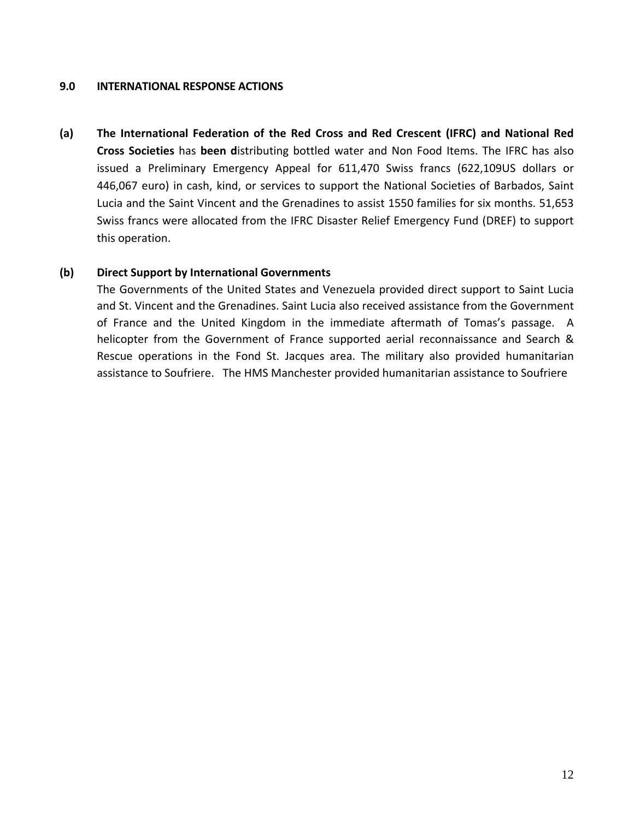#### **9.0 INTERNATIONAL RESPONSE ACTIONS**

**(a) The International Federation of the Red Cross and Red Crescent (IFRC) and National Red Cross Societies** has **been d**istributing bottled water and Non Food Items. The IFRC has also issued a Preliminary Emergency Appeal for 611,470 Swiss francs (622,109US dollars or 446,067 euro) in cash, kind, or services to support the National Societies of Barbados, Saint Lucia and the Saint Vincent and the Grenadines to assist 1550 families for six months. 51,653 Swiss francs were allocated from the IFRC Disaster Relief Emergency Fund (DREF) to support this operation.

#### **(b) Direct Support by International Governments**

The Governments of the United States and Venezuela provided direct support to Saint Lucia and St. Vincent and the Grenadines. Saint Lucia also received assistance from the Government of France and the United Kingdom in the immediate aftermath of Tomas's passage. A helicopter from the Government of France supported aerial reconnaissance and Search & Rescue operations in the Fond St. Jacques area. The military also provided humanitarian assistance to Soufriere. The HMS Manchester provided humanitarian assistance to Soufriere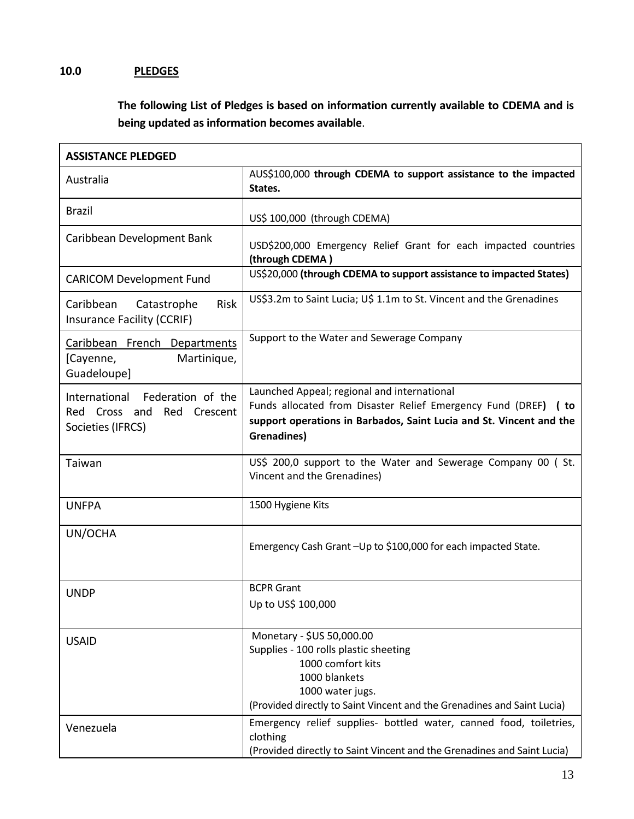# **10.0 PLEDGES**

**The following List of Pledges is based on information currently available to CDEMA and is being updated as information becomes available**.

| <b>ASSISTANCE PLEDGED</b>                                                             |                                                                                                                                                                                                         |  |  |  |  |
|---------------------------------------------------------------------------------------|---------------------------------------------------------------------------------------------------------------------------------------------------------------------------------------------------------|--|--|--|--|
| Australia                                                                             | AUS\$100,000 through CDEMA to support assistance to the impacted<br>States.                                                                                                                             |  |  |  |  |
| <b>Brazil</b>                                                                         | US\$ 100,000 (through CDEMA)                                                                                                                                                                            |  |  |  |  |
| Caribbean Development Bank                                                            | USD\$200,000 Emergency Relief Grant for each impacted countries<br>(through CDEMA)                                                                                                                      |  |  |  |  |
| <b>CARICOM Development Fund</b>                                                       | US\$20,000 (through CDEMA to support assistance to impacted States)                                                                                                                                     |  |  |  |  |
| <b>Risk</b><br>Catastrophe<br>Caribbean<br>Insurance Facility (CCRIF)                 | US\$3.2m to Saint Lucia; U\$ 1.1m to St. Vincent and the Grenadines                                                                                                                                     |  |  |  |  |
| Caribbean French Departments<br>Martinique,<br>[Cayenne,<br>Guadeloupe]               | Support to the Water and Sewerage Company                                                                                                                                                               |  |  |  |  |
| International Federation of the<br>Red Cross and<br>Red Crescent<br>Societies (IFRCS) | Launched Appeal; regional and international<br>Funds allocated from Disaster Relief Emergency Fund (DREF) ( to<br>support operations in Barbados, Saint Lucia and St. Vincent and the<br>Grenadines)    |  |  |  |  |
| Taiwan                                                                                | US\$ 200,0 support to the Water and Sewerage Company 00 (St.<br>Vincent and the Grenadines)                                                                                                             |  |  |  |  |
| <b>UNFPA</b>                                                                          | 1500 Hygiene Kits                                                                                                                                                                                       |  |  |  |  |
| UN/OCHA                                                                               | Emergency Cash Grant-Up to \$100,000 for each impacted State.                                                                                                                                           |  |  |  |  |
| <b>UNDP</b>                                                                           | <b>BCPR Grant</b><br>Up to US\$ 100,000                                                                                                                                                                 |  |  |  |  |
| <b>USAID</b>                                                                          | Monetary - \$US 50,000.00<br>Supplies - 100 rolls plastic sheeting<br>1000 comfort kits<br>1000 blankets<br>1000 water jugs.<br>(Provided directly to Saint Vincent and the Grenadines and Saint Lucia) |  |  |  |  |
| Venezuela                                                                             | Emergency relief supplies- bottled water, canned food, toiletries,<br>clothing<br>(Provided directly to Saint Vincent and the Grenadines and Saint Lucia)                                               |  |  |  |  |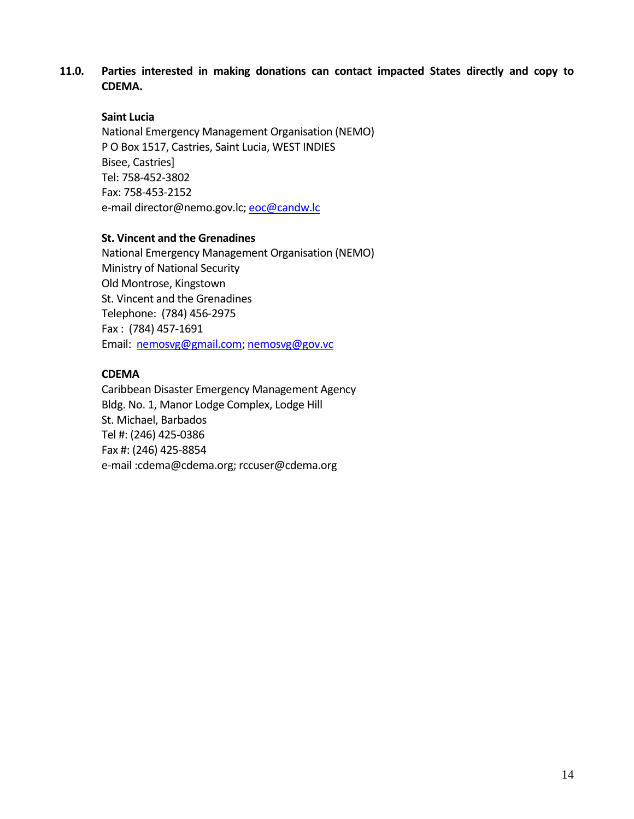## **11.0. Parties interested in making donations can contact impacted States directly and copy to CDEMA.**

## **Saint Lucia**

National Emergency Management Organisation (NEMO) P O Box 1517, Castries, Saint Lucia, WEST INDIES Bisee, Castries] Tel: 758‐452‐3802 Fax: 758‐453‐2152 e-mail director@nemo.gov.lc; eoc@candw.lc

#### **St. Vincent and the Grenadines**

National Emergency Management Organisation (NEMO) Ministry of National Security Old Montrose, Kingstown St. Vincent and the Grenadines Telephone: (784) 456‐2975 Fax : (784) 457‐1691 Email: nemosvg@gmail.com; nemosvg@gov.vc

## **CDEMA**

Caribbean Disaster Emergency Management Agency Bldg. No. 1, Manor Lodge Complex, Lodge Hill St. Michael, Barbados Tel #: (246) 425‐0386 Fax #: (246) 425‐8854 e‐mail :cdema@cdema.org; rccuser@cdema.org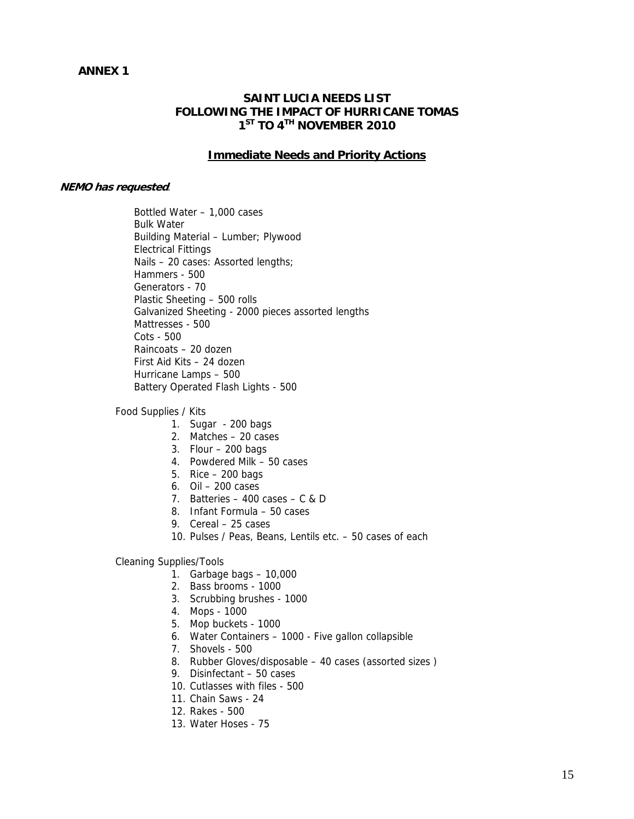#### **ANNEX 1**

#### **SAINT LUCIA NEEDS LIST FOLLOWING THE IMPACT OF HURRICANE TOMAS 1ST TO 4TH NOVEMBER 2010**

#### **Immediate Needs and Priority Actions**

#### **NEMO has requested**:

Bottled Water – 1,000 cases Bulk Water Building Material – Lumber; Plywood Electrical Fittings Nails – 20 cases: Assorted lengths; Hammers - 500 Generators - 70 Plastic Sheeting – 500 rolls Galvanized Sheeting - 2000 pieces assorted lengths Mattresses - 500 Cots - 500 Raincoats – 20 dozen First Aid Kits – 24 dozen Hurricane Lamps – 500 Battery Operated Flash Lights - 500

#### Food Supplies / Kits

- 1. Sugar 200 bags
- 2. Matches 20 cases
- 3. Flour 200 bags
- 4. Powdered Milk 50 cases
- 5. Rice 200 bags
- 6. Oil 200 cases
- 7. Batteries 400 cases C & D
- 8. Infant Formula 50 cases
- 9. Cereal 25 cases
- 10. Pulses / Peas, Beans, Lentils etc. 50 cases of each

#### Cleaning Supplies/Tools

- 1. Garbage bags 10,000
- 2. Bass brooms 1000
- 3. Scrubbing brushes 1000
- 4. Mops 1000
- 5. Mop buckets 1000
- 6. Water Containers 1000 Five gallon collapsible
- 7. Shovels 500
- 8. Rubber Gloves/disposable 40 cases (assorted sizes )
- 9. Disinfectant 50 cases
- 10. Cutlasses with files 500
- 11. Chain Saws 24
- 12. Rakes 500
- 13. Water Hoses 75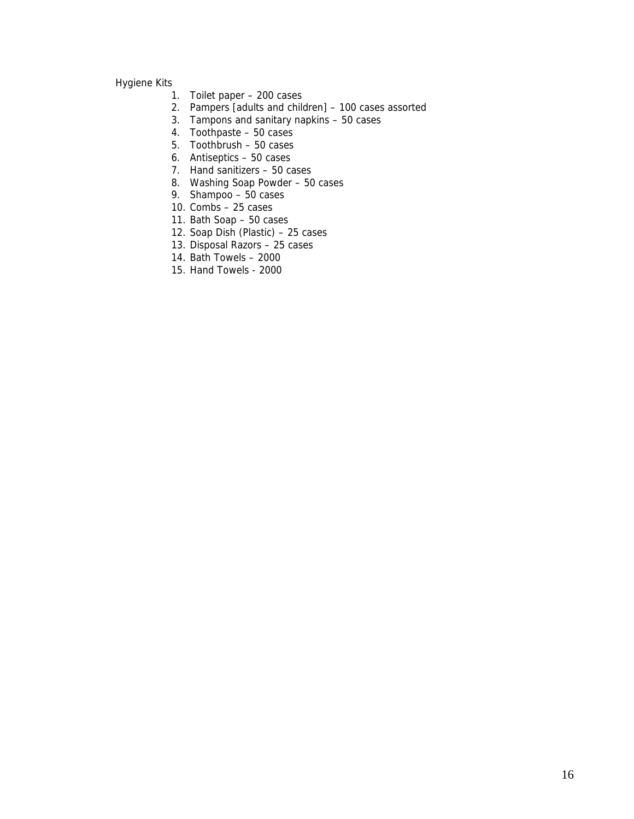#### Hygiene Kits

- 1. Toilet paper 200 cases
- 2. Pampers [adults and children] 100 cases assorted
- 3. Tampons and sanitary napkins 50 cases
- 4. Toothpaste 50 cases
- 5. Toothbrush 50 cases
- 6. Antiseptics 50 cases
- 7. Hand sanitizers 50 cases
- 8. Washing Soap Powder 50 cases
- 9. Shampoo 50 cases
- 10. Combs 25 cases
- 11. Bath Soap 50 cases
- 12. Soap Dish (Plastic) 25 cases
- 13. Disposal Razors 25 cases
- 14. Bath Towels 2000
- 15. Hand Towels 2000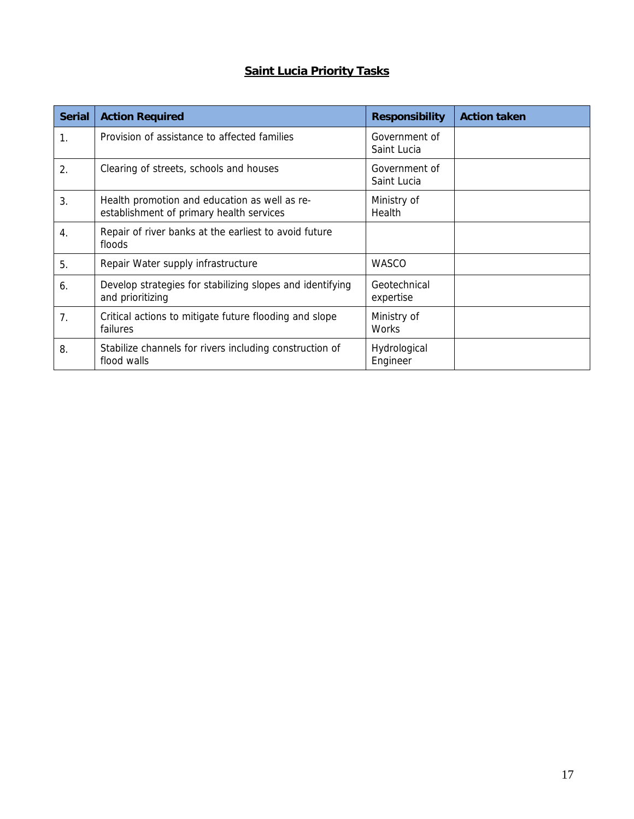# **Saint Lucia Priority Tasks**

| <b>Serial</b>    | <b>Action Required</b>                                                                    | <b>Responsibility</b>        | <b>Action taken</b> |
|------------------|-------------------------------------------------------------------------------------------|------------------------------|---------------------|
| 1.               | Provision of assistance to affected families                                              | Government of<br>Saint Lucia |                     |
| $\overline{2}$ . | Clearing of streets, schools and houses                                                   | Government of<br>Saint Lucia |                     |
| 3.               | Health promotion and education as well as re-<br>establishment of primary health services | Ministry of<br>Health        |                     |
| 4.               | Repair of river banks at the earliest to avoid future<br>floods                           |                              |                     |
| 5.               | Repair Water supply infrastructure                                                        | <b>WASCO</b>                 |                     |
| 6.               | Develop strategies for stabilizing slopes and identifying<br>and prioritizing             | Geotechnical<br>expertise    |                     |
| 7.               | Critical actions to mitigate future flooding and slope<br>failures                        | Ministry of<br>Works         |                     |
| 8.               | Stabilize channels for rivers including construction of<br>flood walls                    | Hydrological<br>Engineer     |                     |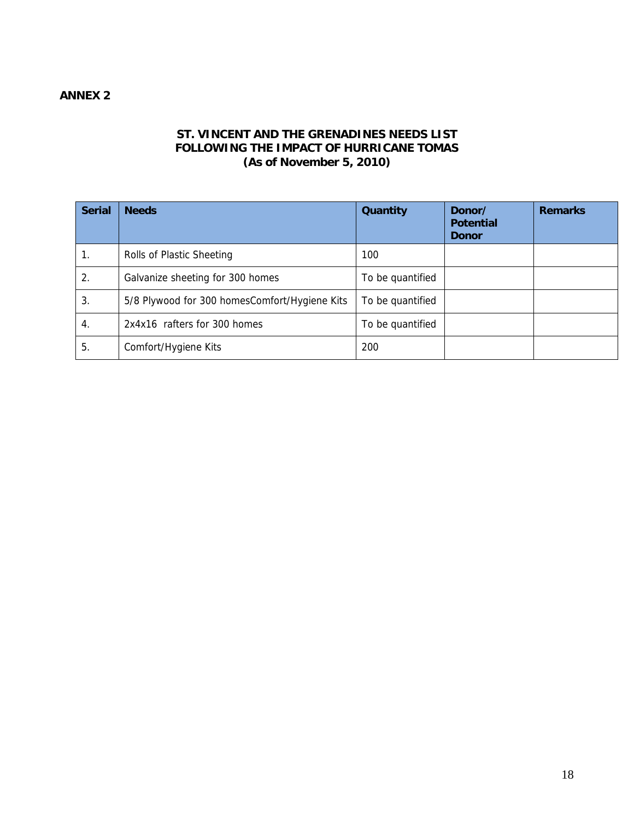# **ANNEX 2**

## **ST. VINCENT AND THE GRENADINES NEEDS LIST FOLLOWING THE IMPACT OF HURRICANE TOMAS (As of November 5, 2010)**

| <b>Serial</b> | <b>Needs</b>                                  | Quantity         | Donor/<br><b>Potential</b><br><b>Donor</b> | <b>Remarks</b> |
|---------------|-----------------------------------------------|------------------|--------------------------------------------|----------------|
| 1.            | Rolls of Plastic Sheeting                     | 100              |                                            |                |
| 2.            | Galvanize sheeting for 300 homes              | To be quantified |                                            |                |
| 3.            | 5/8 Plywood for 300 homesComfort/Hygiene Kits | To be quantified |                                            |                |
| 4.            | 2x4x16 rafters for 300 homes                  | To be quantified |                                            |                |
| 5.            | Comfort/Hygiene Kits                          | 200              |                                            |                |